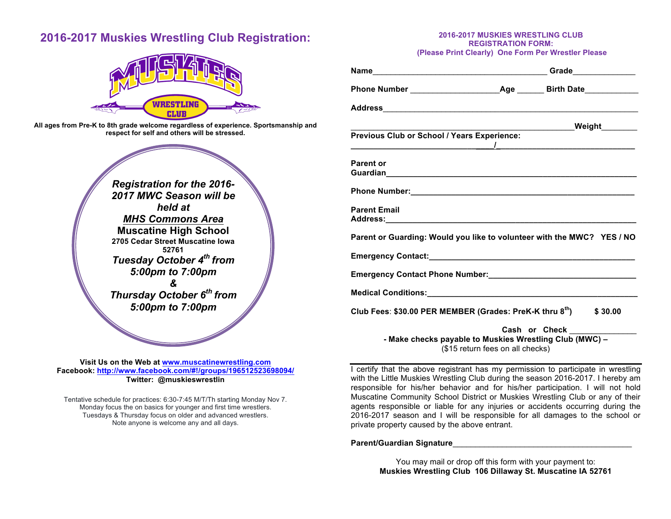# **2016-2017 Muskies Wrestling Club Registration:**



**All ages from Pre-K to 8th grade welcome regardless of experience. Sportsmanship and respect for self and others will be stressed.**

*Registration for the 2016- 2017 MWC Season will be held at MHS Commons Area* **Muscatine High School 2705 Cedar Street Muscatine Iowa 52761** *Tuesday October 4th from 5:00pm to 7:00pm &* 

*Thursday October 6th from 5:00pm to 7:00pm*

**Visit Us on the Web at www.muscatinewrestling.com Facebook: http://www.facebook.com/#!/groups/196512523698094/ Twitter: @muskieswrestlin**

Tentative schedule for practices: 6:30-7:45 M/T/Th starting Monday Nov 7. Monday focus the on basics for younger and first time wrestlers. Tuesdays & Thursday focus on older and advanced wrestlers. Note anyone is welcome any and all days.

#### **2016-2017 MUSKIES WRESTLING CLUB REGISTRATION FORM: (Please Print Clearly) One Form Per Wrestler Please**

**Name**\_\_\_\_\_\_\_\_\_\_\_\_\_\_\_\_\_\_\_\_\_\_\_\_\_\_\_\_\_\_\_\_\_\_\_\_\_\_\_ **Grade**\_\_\_\_\_\_\_\_\_\_\_\_\_\_ **Phone Number** \_\_\_\_\_\_\_\_\_\_\_\_\_\_\_\_\_\_\_\_**Age** \_\_\_\_\_\_ **Birth Date**\_\_\_\_\_\_\_\_\_\_\_\_ **Address**\_\_\_\_\_\_\_\_\_\_\_\_\_\_\_\_\_\_\_\_\_\_\_\_\_\_\_\_\_\_\_\_\_\_\_\_\_\_\_\_\_\_\_\_\_\_\_\_\_\_\_\_\_\_\_\_\_ \_\_\_\_\_\_\_\_\_\_\_\_\_\_\_\_\_\_\_\_\_\_\_\_\_\_\_\_\_\_\_\_\_\_\_\_\_\_\_\_\_\_\_\_\_\_\_\_\_\_**Weight**\_\_\_\_\_\_\_\_ **Previous Club or School / Years Experience: \_\_\_\_\_\_\_\_\_\_\_\_\_\_\_\_\_\_\_\_\_\_\_\_\_\_\_\_\_\_\_\_/\_\_\_\_\_\_\_\_\_\_\_\_\_\_\_\_\_\_\_\_\_\_\_\_\_\_\_\_\_\_\_ Parent or Guardian\_\_\_\_\_\_\_\_\_\_\_\_\_\_\_\_\_\_\_\_\_\_\_\_\_\_\_\_\_\_\_\_\_\_\_\_\_\_\_\_\_\_\_\_\_\_\_\_\_\_\_\_\_\_\_\_ Phone Number:**  $\blacksquare$ **Parent Email Address: Parent or Guarding: Would you like to volunteer with the MWC? YES / NO Emergency Contact: Emergency Contact Phone Number: Medical Conditions:\_\_\_\_\_\_\_\_\_\_\_\_\_\_\_\_\_\_\_\_\_\_\_\_\_\_\_\_\_\_\_\_\_\_\_\_\_\_\_\_\_\_\_\_\_\_\_ Club Fees**: **\$30.00 PER MEMBER (Grades: PreK-K thru 8th) \$ 30.00 Cash or Check** \_\_\_\_\_\_\_\_\_\_\_\_\_\_\_

**- Make checks payable to Muskies Wrestling Club (MWC) –** (\$15 return fees on all checks)

I certify that the above registrant has my permission to participate in wrestling with the Little Muskies Wrestling Club during the season 2016-2017. I hereby am responsible for his/her behavior and for his/her participation. I will not hold Muscatine Community School District or Muskies Wrestling Club or any of their agents responsible or liable for any injuries or accidents occurring during the 2016-2017 season and I will be responsible for all damages to the school or private property caused by the above entrant.

### Parent/Guardian Signature<br> **Parent/Guardian Signature**

You may mail or drop off this form with your payment to: **Muskies Wrestling Club 106 Dillaway St. Muscatine IA 52761**